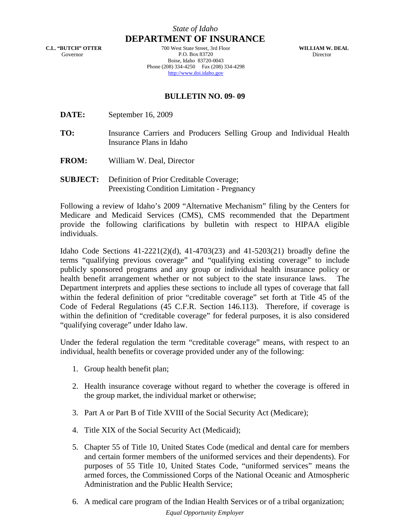## *State of Idaho*

**C.L. "BUTCH" OTTER** Governor

**DEPARTMENT OF INSURANCE** 700 West State Street, 3rd Floor P.O. Box 83720 Boise, Idaho 83720-0043 Phone (208) 334-4250 Fax (208) 334-4298 http://www.doi.idaho.gov

**WILLIAM W. DEAL** Director

## **BULLETIN NO. 09- 09**

- **DATE:** September 16, 2009
- **TO:** Insurance Carriers and Producers Selling Group and Individual Health Insurance Plans in Idaho
- **FROM:** William W. Deal, Director
- **SUBJECT:** Definition of Prior Creditable Coverage; Preexisting Condition Limitation - Pregnancy

Following a review of Idaho's 2009 "Alternative Mechanism" filing by the Centers for Medicare and Medicaid Services (CMS), CMS recommended that the Department provide the following clarifications by bulletin with respect to HIPAA eligible individuals.

Idaho Code Sections 41-2221(2)(d), 41-4703(23) and 41-5203(21) broadly define the terms "qualifying previous coverage" and "qualifying existing coverage" to include publicly sponsored programs and any group or individual health insurance policy or health benefit arrangement whether or not subject to the state insurance laws. The Department interprets and applies these sections to include all types of coverage that fall within the federal definition of prior "creditable coverage" set forth at Title 45 of the Code of Federal Regulations (45 C.F.R. Section 146.113). Therefore, if coverage is within the definition of "creditable coverage" for federal purposes, it is also considered "qualifying coverage" under Idaho law.

Under the federal regulation the term "creditable coverage" means, with respect to an individual, health benefits or coverage provided under any of the following:

- 1. Group health benefit plan;
- 2. Health insurance coverage without regard to whether the coverage is offered in the group market, the individual market or otherwise;
- 3. Part A or Part B of Title XVIII of the Social Security Act (Medicare);
- 4. Title XIX of the Social Security Act (Medicaid);
- 5. Chapter 55 of Title 10, United States Code (medical and dental care for members and certain former members of the uniformed services and their dependents). For purposes of 55 Title 10, United States Code, "uniformed services" means the armed forces, the Commissioned Corps of the National Oceanic and Atmospheric Administration and the Public Health Service;
- *Equal Opportunity Employer* 6. A medical care program of the Indian Health Services or of a tribal organization;